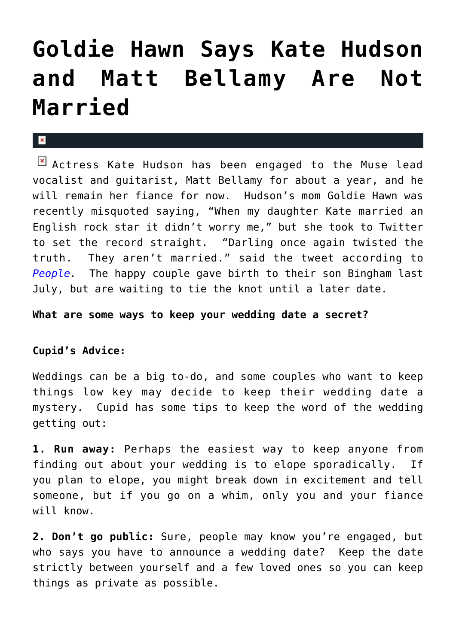## **[Goldie Hawn Says Kate Hudson](https://cupidspulse.com/29018/goldie-hawn-actress-mother-says-kate-hudson-muse-singer-matt-bellamy-not-married/) [and Matt Bellamy Are Not](https://cupidspulse.com/29018/goldie-hawn-actress-mother-says-kate-hudson-muse-singer-matt-bellamy-not-married/) [Married](https://cupidspulse.com/29018/goldie-hawn-actress-mother-says-kate-hudson-muse-singer-matt-bellamy-not-married/)**

## $\mathbf{R}$

**E** Actress Kate Hudson has been engaged to the Muse lead vocalist and guitarist, Matt Bellamy for about a year, and he will remain her fiance for now. Hudson's mom Goldie Hawn was recently misquoted saying, "When my daughter Kate married an English rock star it didn't worry me," but she took to Twitter to set the record straight. "Darling once again twisted the truth. They aren't married." said the tweet according to *[People.](http://www.people.com/people/article/0,,20579910,00.html)* The happy couple gave birth to their son Bingham last July, but are waiting to tie the knot until a later date.

**What are some ways to keep your wedding date a secret?**

## **Cupid's Advice:**

Weddings can be a big to-do, and some couples who want to keep things low key may decide to keep their wedding date a mystery. Cupid has some tips to keep the word of the wedding getting out:

**1. Run away:** Perhaps the easiest way to keep anyone from finding out about your wedding is to elope sporadically. If you plan to elope, you might break down in excitement and tell someone, but if you go on a whim, only you and your fiance will know.

**2. Don't go public:** Sure, people may know you're engaged, but who says you have to announce a wedding date? Keep the date strictly between yourself and a few loved ones so you can keep things as private as possible.